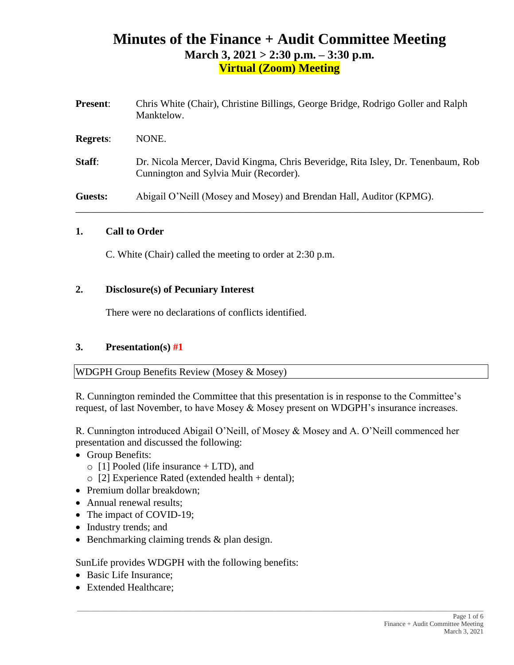# **Minutes of the Finance + Audit Committee Meeting March 3, 2021 > 2:30 p.m. – 3:30 p.m. Virtual (Zoom) Meeting**

| <b>Present:</b> | Chris White (Chair), Christine Billings, George Bridge, Rodrigo Goller and Ralph<br>Manktelow.                             |
|-----------------|----------------------------------------------------------------------------------------------------------------------------|
| <b>Regrets:</b> | NONE.                                                                                                                      |
| Staff:          | Dr. Nicola Mercer, David Kingma, Chris Beveridge, Rita Isley, Dr. Tenenbaum, Rob<br>Cunnington and Sylvia Muir (Recorder). |
| Guests:         | Abigail O'Neill (Mosey and Mosey) and Brendan Hall, Auditor (KPMG).                                                        |

#### **1. Call to Order**

C. White (Chair) called the meeting to order at 2:30 p.m.

#### **2. Disclosure(s) of Pecuniary Interest**

There were no declarations of conflicts identified.

#### **3. Presentation(s) #1**

WDGPH Group Benefits Review (Mosey & Mosey)

R. Cunnington reminded the Committee that this presentation is in response to the Committee's request, of last November, to have Mosey & Mosey present on WDGPH's insurance increases.

R. Cunnington introduced Abigail O'Neill, of Mosey & Mosey and A. O'Neill commenced her presentation and discussed the following:

 $\_$  ,  $\_$  ,  $\_$  ,  $\_$  ,  $\_$  ,  $\_$  ,  $\_$  ,  $\_$  ,  $\_$  ,  $\_$  ,  $\_$  ,  $\_$  ,  $\_$  ,  $\_$  ,  $\_$  ,  $\_$  ,  $\_$  ,  $\_$  ,  $\_$  ,  $\_$  ,  $\_$  ,  $\_$  ,  $\_$  ,  $\_$  ,  $\_$  ,  $\_$  ,  $\_$  ,  $\_$  ,  $\_$  ,  $\_$  ,  $\_$  ,  $\_$  ,  $\_$  ,  $\_$  ,  $\_$  ,  $\_$  ,  $\_$  ,

- Group Benefits:
	- $\circ$  [1] Pooled (life insurance + LTD), and
	- $\circ$  [2] Experience Rated (extended health + dental);
- Premium dollar breakdown:
- Annual renewal results;
- The impact of COVID-19;
- Industry trends; and
- Benchmarking claiming trends & plan design.

SunLife provides WDGPH with the following benefits:

- Basic Life Insurance;
- Extended Healthcare: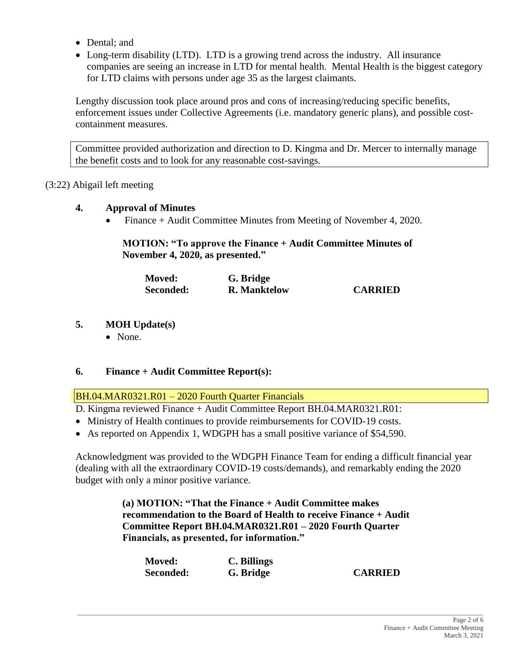- Dental: and
- Long-term disability (LTD). LTD is a growing trend across the industry. All insurance companies are seeing an increase in LTD for mental health. Mental Health is the biggest category for LTD claims with persons under age 35 as the largest claimants.

Lengthy discussion took place around pros and cons of increasing/reducing specific benefits, enforcement issues under Collective Agreements (i.e. mandatory generic plans), and possible costcontainment measures.

Committee provided authorization and direction to D. Kingma and Dr. Mercer to internally manage the benefit costs and to look for any reasonable cost-savings.

### (3:22) Abigail left meeting

#### **4. Approval of Minutes**

• Finance + Audit Committee Minutes from Meeting of November 4, 2020.

#### **MOTION: "To approve the Finance + Audit Committee Minutes of November 4, 2020, as presented."**

| <b>Moved:</b> | G. Bridge           |                |
|---------------|---------------------|----------------|
| Seconded:     | <b>R.</b> Manktelow | <b>CARRIED</b> |

- **5. MOH Update(s)**
	- None.

### **6. Finance + Audit Committee Report(s):**

BH.04.MAR0321.R01 – 2020 Fourth Quarter Financials

D. Kingma reviewed Finance + Audit Committee Report BH.04.MAR0321.R01:

- Ministry of Health continues to provide reimbursements for COVID-19 costs.
- As reported on Appendix 1, WDGPH has a small positive variance of \$54,590.

Acknowledgment was provided to the WDGPH Finance Team for ending a difficult financial year (dealing with all the extraordinary COVID-19 costs/demands), and remarkably ending the 2020 budget with only a minor positive variance.

> **(a) MOTION: "That the Finance + Audit Committee makes recommendation to the Board of Health to receive Finance + Audit Committee Report BH.04.MAR0321.R01 – 2020 Fourth Quarter Financials, as presented, for information."**

| <b>Moved:</b> | C. Billings |                |
|---------------|-------------|----------------|
| Seconded:     | G. Bridge   | <b>CARRIED</b> |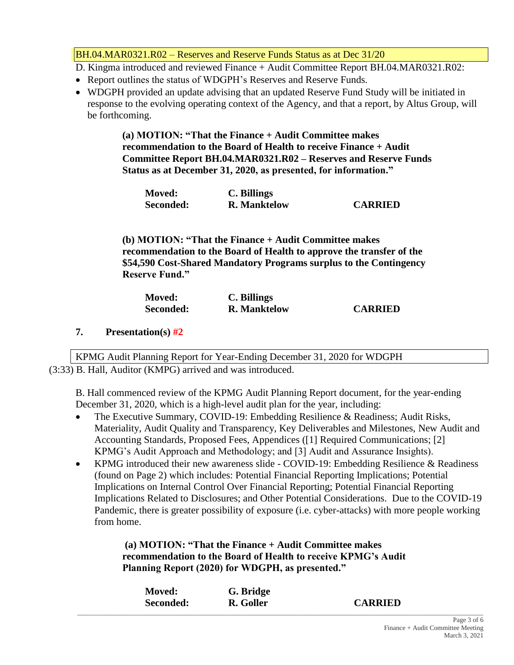BH.04.MAR0321.R02 – Reserves and Reserve Funds Status as at Dec 31/20

D. Kingma introduced and reviewed Finance + Audit Committee Report BH.04.MAR0321.R02:

- Report outlines the status of WDGPH's Reserves and Reserve Funds.
- WDGPH provided an update advising that an updated Reserve Fund Study will be initiated in response to the evolving operating context of the Agency, and that a report, by Altus Group, will be forthcoming.

**(a) MOTION: "That the Finance + Audit Committee makes recommendation to the Board of Health to receive Finance + Audit Committee Report BH.04.MAR0321.R02 – Reserves and Reserve Funds Status as at December 31, 2020, as presented, for information."**

| <b>Moved:</b> | C. Billings         |                |
|---------------|---------------------|----------------|
| Seconded:     | <b>R.</b> Manktelow | <b>CARRIED</b> |

**(b) MOTION: "That the Finance + Audit Committee makes recommendation to the Board of Health to approve the transfer of the \$54,590 Cost-Shared Mandatory Programs surplus to the Contingency Reserve Fund."**

| <b>Moved:</b> | C. Billings         |                |
|---------------|---------------------|----------------|
| Seconded:     | <b>R.</b> Manktelow | <b>CARRIED</b> |

**7. Presentation(s) #2**

KPMG Audit Planning Report for Year-Ending December 31, 2020 for WDGPH (3:33) B. Hall, Auditor (KMPG) arrived and was introduced.

B. Hall commenced review of the KPMG Audit Planning Report document, for the year-ending December 31, 2020, which is a high-level audit plan for the year, including:

- The Executive Summary, COVID-19: Embedding Resilience & Readiness: Audit Risks, Materiality, Audit Quality and Transparency, Key Deliverables and Milestones, New Audit and Accounting Standards, Proposed Fees, Appendices ([1] Required Communications; [2] KPMG's Audit Approach and Methodology; and [3] Audit and Assurance Insights).
- KPMG introduced their new awareness slide COVID-19: Embedding Resilience & Readiness (found on Page 2) which includes: Potential Financial Reporting Implications; Potential Implications on Internal Control Over Financial Reporting; Potential Financial Reporting Implications Related to Disclosures; and Other Potential Considerations. Due to the COVID-19 Pandemic, there is greater possibility of exposure (i.e. cyber-attacks) with more people working from home.

**(a) MOTION: "That the Finance + Audit Committee makes recommendation to the Board of Health to receive KPMG's Audit Planning Report (2020) for WDGPH, as presented."**

| <b>Moved:</b> | G. Bridge |                |  |
|---------------|-----------|----------------|--|
| Seconded:     | R. Goller | <b>CARRIED</b> |  |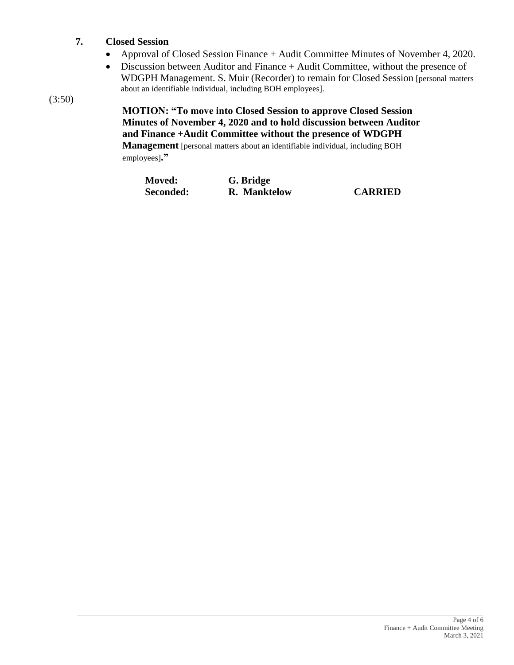### **7. Closed Session**

- Approval of Closed Session Finance + Audit Committee Minutes of November 4, 2020.
- Discussion between Auditor and Finance + Audit Committee, without the presence of WDGPH Management. S. Muir (Recorder) to remain for Closed Session [personal matters about an identifiable individual, including BOH employees].

(3:50)

## **MOTION: "To move into Closed Session to approve Closed Session Minutes of November 4, 2020 and to hold discussion between Auditor and Finance +Audit Committee without the presence of WDGPH**

**Management** [personal matters about an identifiable individual, including BOH employees]**."**

| <b>Moved:</b> | G. Bridge    |                |
|---------------|--------------|----------------|
| Seconded:     | R. Manktelow | <b>CARRIED</b> |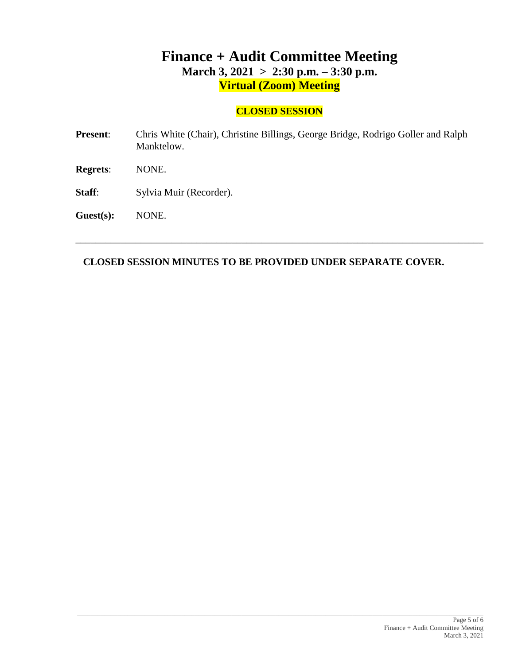# **Finance + Audit Committee Meeting March 3, 2021 > 2:30 p.m. – 3:30 p.m. Virtual (Zoom) Meeting**

## **CLOSED SESSION**

**Present**: Chris White (Chair), Christine Billings, George Bridge, Rodrigo Goller and Ralph Manktelow. **Regrets**: NONE. Staff: Sylvia Muir (Recorder).

**Guest(s):** NONE.

**CLOSED SESSION MINUTES TO BE PROVIDED UNDER SEPARATE COVER.**

\_\_\_\_\_\_\_\_\_\_\_\_\_\_\_\_\_\_\_\_\_\_\_\_\_\_\_\_\_\_\_\_\_\_\_\_\_\_\_\_\_\_\_\_\_\_\_\_\_\_\_\_\_\_\_\_\_\_\_\_\_\_\_\_\_\_\_\_\_\_\_\_\_\_\_\_\_\_\_\_\_